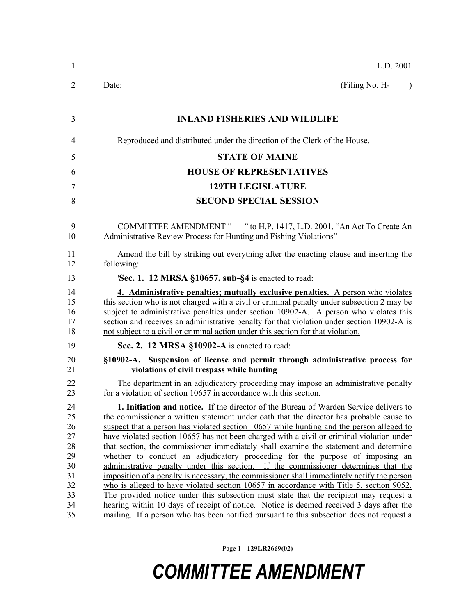| $\mathbf{1}$                                                   | L.D. 2001                                                                                                                                                                                                                                                                                                                                                                                                                                                                                                                                                                                                                                                                                                                                                                                                                                                                                                                                                                                                            |
|----------------------------------------------------------------|----------------------------------------------------------------------------------------------------------------------------------------------------------------------------------------------------------------------------------------------------------------------------------------------------------------------------------------------------------------------------------------------------------------------------------------------------------------------------------------------------------------------------------------------------------------------------------------------------------------------------------------------------------------------------------------------------------------------------------------------------------------------------------------------------------------------------------------------------------------------------------------------------------------------------------------------------------------------------------------------------------------------|
| 2                                                              | (Filing No. H-<br>Date:<br>$\lambda$                                                                                                                                                                                                                                                                                                                                                                                                                                                                                                                                                                                                                                                                                                                                                                                                                                                                                                                                                                                 |
| 3                                                              | <b>INLAND FISHERIES AND WILDLIFE</b>                                                                                                                                                                                                                                                                                                                                                                                                                                                                                                                                                                                                                                                                                                                                                                                                                                                                                                                                                                                 |
| 4                                                              | Reproduced and distributed under the direction of the Clerk of the House.                                                                                                                                                                                                                                                                                                                                                                                                                                                                                                                                                                                                                                                                                                                                                                                                                                                                                                                                            |
| 5                                                              | <b>STATE OF MAINE</b>                                                                                                                                                                                                                                                                                                                                                                                                                                                                                                                                                                                                                                                                                                                                                                                                                                                                                                                                                                                                |
| 6                                                              | <b>HOUSE OF REPRESENTATIVES</b>                                                                                                                                                                                                                                                                                                                                                                                                                                                                                                                                                                                                                                                                                                                                                                                                                                                                                                                                                                                      |
| 7                                                              | <b>129TH LEGISLATURE</b>                                                                                                                                                                                                                                                                                                                                                                                                                                                                                                                                                                                                                                                                                                                                                                                                                                                                                                                                                                                             |
| 8                                                              | <b>SECOND SPECIAL SESSION</b>                                                                                                                                                                                                                                                                                                                                                                                                                                                                                                                                                                                                                                                                                                                                                                                                                                                                                                                                                                                        |
| 9<br>10                                                        | COMMITTEE AMENDMENT " " to H.P. 1417, L.D. 2001, "An Act To Create An<br>Administrative Review Process for Hunting and Fishing Violations"                                                                                                                                                                                                                                                                                                                                                                                                                                                                                                                                                                                                                                                                                                                                                                                                                                                                           |
| 11<br>12                                                       | Amend the bill by striking out everything after the enacting clause and inserting the<br>following:                                                                                                                                                                                                                                                                                                                                                                                                                                                                                                                                                                                                                                                                                                                                                                                                                                                                                                                  |
| 13                                                             | <b>Sec. 1. 12 MRSA §10657, sub-§4</b> is enacted to read:                                                                                                                                                                                                                                                                                                                                                                                                                                                                                                                                                                                                                                                                                                                                                                                                                                                                                                                                                            |
| 14<br>15<br>16<br>17<br>18                                     | 4. Administrative penalties; mutually exclusive penalties. A person who violates<br>this section who is not charged with a civil or criminal penalty under subsection 2 may be<br>subject to administrative penalties under section 10902-A. A person who violates this<br>section and receives an administrative penalty for that violation under section 10902-A is<br>not subject to a civil or criminal action under this section for that violation.                                                                                                                                                                                                                                                                                                                                                                                                                                                                                                                                                            |
| 19                                                             | Sec. 2. 12 MRSA §10902-A is enacted to read:                                                                                                                                                                                                                                                                                                                                                                                                                                                                                                                                                                                                                                                                                                                                                                                                                                                                                                                                                                         |
| 20<br>21                                                       | §10902-A. Suspension of license and permit through administrative process for<br>violations of civil trespass while hunting                                                                                                                                                                                                                                                                                                                                                                                                                                                                                                                                                                                                                                                                                                                                                                                                                                                                                          |
| 22<br>23                                                       | The department in an adjudicatory proceeding may impose an administrative penalty<br>for a violation of section 10657 in accordance with this section.                                                                                                                                                                                                                                                                                                                                                                                                                                                                                                                                                                                                                                                                                                                                                                                                                                                               |
| 24<br>25<br>26<br>27<br>28<br>29<br>30<br>31<br>32<br>33<br>34 | 1. Initiation and notice. If the director of the Bureau of Warden Service delivers to<br>the commissioner a written statement under oath that the director has probable cause to<br>suspect that a person has violated section 10657 while hunting and the person alleged to<br>have violated section 10657 has not been charged with a civil or criminal violation under<br>that section, the commissioner immediately shall examine the statement and determine<br>whether to conduct an adjudicatory proceeding for the purpose of imposing an<br>administrative penalty under this section. If the commissioner determines that the<br>imposition of a penalty is necessary, the commissioner shall immediately notify the person<br>who is alleged to have violated section 10657 in accordance with Title 5, section 9052.<br>The provided notice under this subsection must state that the recipient may request a<br>hearing within 10 days of receipt of notice. Notice is deemed received 3 days after the |
| 35                                                             | mailing. If a person who has been notified pursuant to this subsection does not request a                                                                                                                                                                                                                                                                                                                                                                                                                                                                                                                                                                                                                                                                                                                                                                                                                                                                                                                            |

Page 1 - **129LR2669(02)**

## *COMMITTEE AMENDMENT*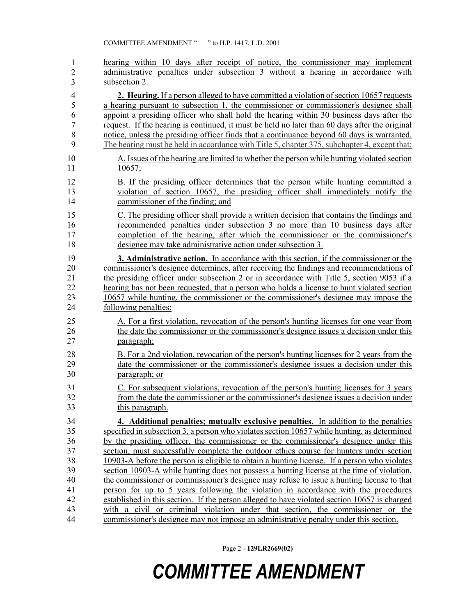| $\mathbf{1}$   | hearing within 10 days after receipt of notice, the commissioner may implement                 |
|----------------|------------------------------------------------------------------------------------------------|
| $\overline{2}$ | administrative penalties under subsection 3 without a hearing in accordance with               |
| 3              | subsection 2.                                                                                  |
| $\overline{4}$ | 2. Hearing. If a person alleged to have committed a violation of section 10657 requests        |
| 5              | a hearing pursuant to subsection 1, the commissioner or commissioner's designee shall          |
| 6              | appoint a presiding officer who shall hold the hearing within 30 business days after the       |
| $\overline{7}$ | request. If the hearing is continued, it must be held no later than 60 days after the original |
| 8              | notice, unless the presiding officer finds that a continuance beyond 60 days is warranted.     |
| 9              | The hearing must be held in accordance with Title 5, chapter 375, subchapter 4, except that:   |
| 10             | A. Issues of the hearing are limited to whether the person while hunting violated section      |
| 11             | 10657;                                                                                         |
| 12             | B. If the presiding officer determines that the person while hunting committed a               |
| 13             | violation of section 10657, the presiding officer shall immediately notify the                 |
| 14             | commissioner of the finding; and                                                               |
| 15             | C. The presiding officer shall provide a written decision that contains the findings and       |
| 16             | recommended penalties under subsection 3 no more than 10 business days after                   |
| 17             | completion of the hearing, after which the commissioner or the commissioner's                  |
| 18             | designee may take administrative action under subsection 3.                                    |
| 19             | <b>3. Administrative action.</b> In accordance with this section, if the commissioner or the   |
| 20             | commissioner's designee determines, after receiving the findings and recommendations of        |
| 21             | the presiding officer under subsection 2 or in accordance with Title 5, section 9053 if a      |
| 22             | hearing has not been requested, that a person who holds a license to hunt violated section     |
| 23             | 10657 while hunting, the commissioner or the commissioner's designee may impose the            |
| 24             | following penalties:                                                                           |
| 25             | A. For a first violation, revocation of the person's hunting licenses for one year from        |
| 26             | the date the commissioner or the commissioner's designee issues a decision under this          |
| 27             | paragraph;                                                                                     |
| 28             | B. For a 2nd violation, revocation of the person's hunting licenses for 2 years from the       |
| 29             | date the commissioner or the commissioner's designee issues a decision under this              |
| 30             | paragraph; or                                                                                  |
| 31             | C. For subsequent violations, revocation of the person's hunting licenses for 3 years          |
| 32             | from the date the commissioner or the commissioner's designee issues a decision under          |
| 33             | this paragraph.                                                                                |
| 34             | 4. Additional penalties; mutually exclusive penalties. In addition to the penalties            |
| 35             | specified in subsection 3, a person who violates section 10657 while hunting, as determined    |
| 36             | by the presiding officer, the commissioner or the commissioner's designee under this           |
| 37             | section, must successfully complete the outdoor ethics course for hunters under section        |
| 38             | 10903-A before the person is eligible to obtain a hunting license. If a person who violates    |
| 39             | section 10903-A while hunting does not possess a hunting license at the time of violation,     |
| 40             | the commissioner or commissioner's designee may refuse to issue a hunting license to that      |
| 41             | person for up to 5 years following the violation in accordance with the procedures             |
| 42             | established in this section. If the person alleged to have violated section 10657 is charged   |
| 43             | with a civil or criminal violation under that section, the commissioner or the                 |
| 44             | commissioner's designee may not impose an administrative penalty under this section.           |

Page 2 - **129LR2669(02)**

## *COMMITTEE AMENDMENT*